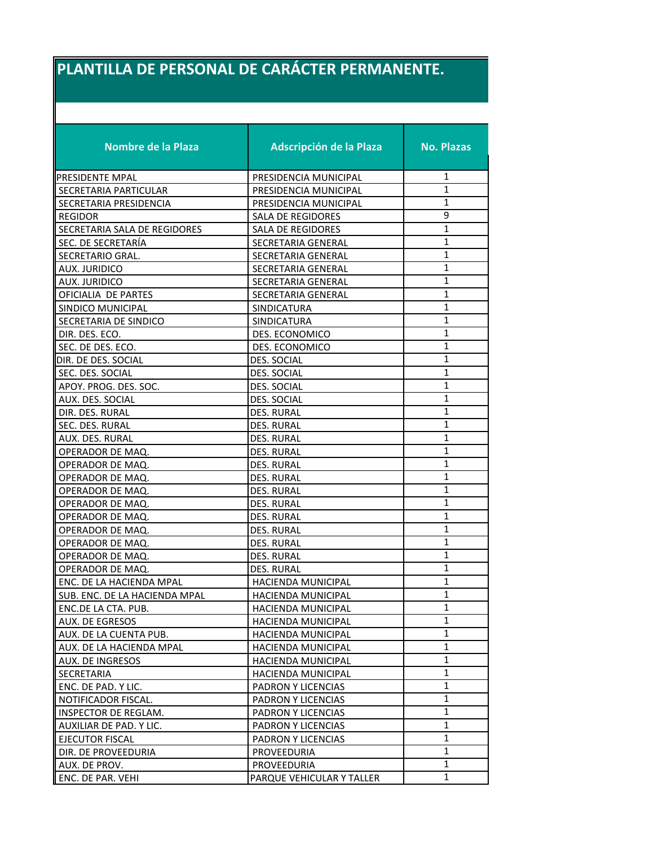## **PLANTILLA DE PERSONAL DE CARÁCTER PERMANENTE.**

| <b>Nombre de la Plaza</b>     | <b>Adscripción de la Plaza</b> | <b>No. Plazas</b> |
|-------------------------------|--------------------------------|-------------------|
| PRESIDENTE MPAL               | PRESIDENCIA MUNICIPAL          | 1                 |
| SECRETARIA PARTICULAR         | PRESIDENCIA MUNICIPAL          | 1                 |
| SECRETARIA PRESIDENCIA        | PRESIDENCIA MUNICIPAL          | 1                 |
| <b>REGIDOR</b>                | SALA DE REGIDORES              | 9                 |
| SECRETARIA SALA DE REGIDORES  | SALA DE REGIDORES              | $\mathbf{1}$      |
| SEC. DE SECRETARÍA            | <b>SECRETARIA GENERAL</b>      | 1                 |
| SECRETARIO GRAL.              | SECRETARIA GENERAL             | 1                 |
| <b>AUX. JURIDICO</b>          | SECRETARIA GENERAL             | $\mathbf{1}$      |
| AUX. JURIDICO                 | SECRETARIA GENERAL             | $\mathbf{1}$      |
| OFICIALIA DE PARTES           | SECRETARIA GENERAL             | $\mathbf{1}$      |
| SINDICO MUNICIPAL             | SINDICATURA                    | $\mathbf{1}$      |
| SECRETARIA DE SINDICO         | SINDICATURA                    | 1                 |
| DIR. DES. ECO.                | DES. ECONOMICO                 | 1                 |
| SEC. DE DES. ECO.             | DES. ECONOMICO                 | 1                 |
| DIR. DE DES. SOCIAL           | DES. SOCIAL                    | $\mathbf{1}$      |
| SEC. DES. SOCIAL              | <b>DES. SOCIAL</b>             | $\mathbf{1}$      |
| APOY. PROG. DES. SOC.         | DES. SOCIAL                    | $\mathbf{1}$      |
| AUX. DES. SOCIAL              | DES. SOCIAL                    | 1                 |
| DIR. DES. RURAL               | <b>DES. RURAL</b>              | $\mathbf{1}$      |
| SEC. DES. RURAL               | <b>DES. RURAL</b>              | $\mathbf{1}$      |
| AUX. DES. RURAL               | <b>DES. RURAL</b>              | $\mathbf{1}$      |
| OPERADOR DE MAQ.              | <b>DES. RURAL</b>              | 1                 |
| OPERADOR DE MAQ.              | <b>DES. RURAL</b>              | $\mathbf{1}$      |
| OPERADOR DE MAQ.              | DES. RURAL                     | $\mathbf{1}$      |
| OPERADOR DE MAQ.              | <b>DES. RURAL</b>              | 1                 |
| OPERADOR DE MAQ.              | DES. RURAL                     | 1                 |
| OPERADOR DE MAQ.              | DES. RURAL                     | 1                 |
| OPERADOR DE MAQ.              | <b>DES. RURAL</b>              | 1                 |
| OPERADOR DE MAQ.              | DES. RURAL                     | $\mathbf{1}$      |
| OPERADOR DE MAQ.              | DES. RURAL                     | $\mathbf{1}$      |
| OPERADOR DE MAQ.              | DES. RURAL                     | 1                 |
| ENC. DE LA HACIENDA MPAL      | HACIENDA MUNICIPAL             | 1                 |
| SUB. ENC. DE LA HACIENDA MPAL | <b>HACIENDA MUNICIPAL</b>      | $\mathbf{1}$      |
| ENC.DE LA CTA. PUB.           | <b>HACIENDA MUNICIPAL</b>      | 1                 |
| AUX. DE EGRESOS               | HACIENDA MUNICIPAL             | $\mathbf{1}$      |
| AUX. DE LA CUENTA PUB.        | HACIENDA MUNICIPAL             | $\mathbf{1}$      |
| AUX. DE LA HACIENDA MPAL      | HACIENDA MUNICIPAL             | $\mathbf{1}$      |
| AUX. DE INGRESOS              | <b>HACIENDA MUNICIPAL</b>      | $\mathbf{1}$      |
| SECRETARIA                    | <b>HACIENDA MUNICIPAL</b>      | $\mathbf{1}$      |
| ENC. DE PAD. Y LIC.           | PADRON Y LICENCIAS             | $\mathbf{1}$      |
| NOTIFICADOR FISCAL.           | PADRON Y LICENCIAS             | $\mathbf{1}$      |
| INSPECTOR DE REGLAM.          | PADRON Y LICENCIAS             | $\mathbf{1}$      |
| AUXILIAR DE PAD. Y LIC.       | PADRON Y LICENCIAS             | 1                 |
| <b>EJECUTOR FISCAL</b>        | PADRON Y LICENCIAS             | 1                 |
| DIR. DE PROVEEDURIA           | PROVEEDURIA                    | 1                 |
| AUX. DE PROV.                 | PROVEEDURIA                    | 1                 |
| ENC. DE PAR. VEHI             | PARQUE VEHICULAR Y TALLER      | $\mathbf{1}$      |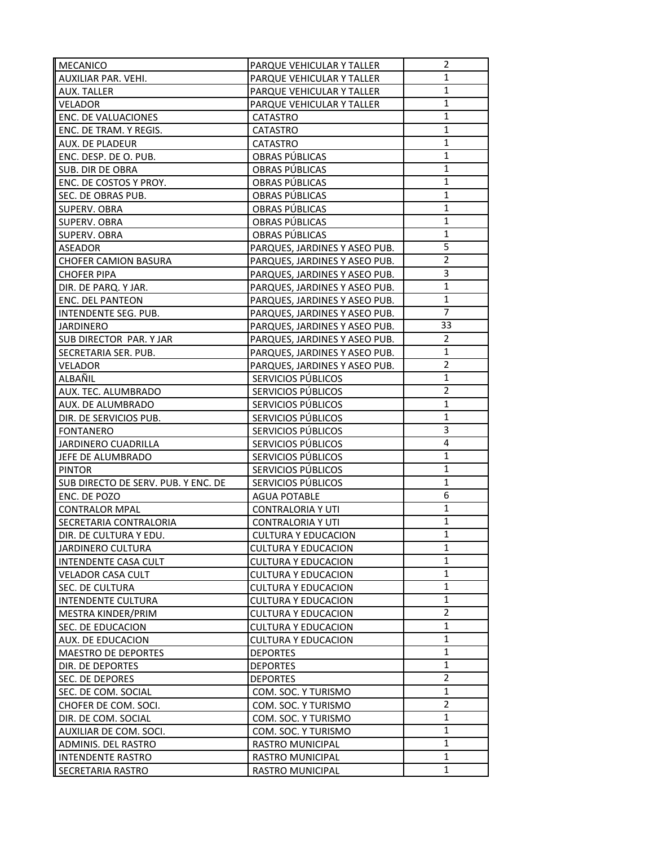| <b>MECANICO</b>                             | PARQUE VEHICULAR Y TALLER     | 2              |
|---------------------------------------------|-------------------------------|----------------|
| AUXILIAR PAR. VEHI.                         | PARQUE VEHICULAR Y TALLER     | 1              |
| AUX. TALLER                                 | PARQUE VEHICULAR Y TALLER     | $\mathbf{1}$   |
| <b>VELADOR</b>                              | PARQUE VEHICULAR Y TALLER     | $\mathbf{1}$   |
| ENC. DE VALUACIONES                         | <b>CATASTRO</b>               | $\mathbf{1}$   |
| ENC. DE TRAM. Y REGIS.                      | <b>CATASTRO</b>               | 1              |
| AUX. DE PLADEUR                             | <b>CATASTRO</b>               | 1              |
| ENC. DESP. DE O. PUB.                       | OBRAS PÚBLICAS                | $\mathbf{1}$   |
| SUB. DIR DE OBRA                            | OBRAS PÚBLICAS                | 1              |
| ENC. DE COSTOS Y PROY.                      | OBRAS PÚBLICAS                | 1              |
| SEC. DE OBRAS PUB.                          | OBRAS PÚBLICAS                | $\mathbf{1}$   |
| SUPERV. OBRA                                | OBRAS PÚBLICAS                | $\mathbf{1}$   |
| SUPERV. OBRA                                | OBRAS PÚBLICAS                | $\mathbf{1}$   |
| SUPERV. OBRA                                | OBRAS PÚBLICAS                | $\mathbf{1}$   |
| ASEADOR                                     | PARQUES, JARDINES Y ASEO PUB. | 5              |
| <b>CHOFER CAMION BASURA</b>                 | PARQUES, JARDINES Y ASEO PUB. | $\overline{2}$ |
| <b>CHOFER PIPA</b>                          | PARQUES, JARDINES Y ASEO PUB. | 3              |
| DIR. DE PARQ. Y JAR.                        | PARQUES, JARDINES Y ASEO PUB. | $\mathbf{1}$   |
| <b>ENC. DEL PANTEON</b>                     | PARQUES, JARDINES Y ASEO PUB. | 1              |
| INTENDENTE SEG. PUB.                        | PARQUES, JARDINES Y ASEO PUB. | $\overline{7}$ |
|                                             |                               | 33             |
| <b>JARDINERO</b><br>SUB DIRECTOR PAR. Y JAR | PARQUES, JARDINES Y ASEO PUB. | $\overline{2}$ |
|                                             | PARQUES, JARDINES Y ASEO PUB. | 1              |
| SECRETARIA SER. PUB.                        | PARQUES, JARDINES Y ASEO PUB. | $\overline{2}$ |
| <b>VELADOR</b>                              | PARQUES, JARDINES Y ASEO PUB. | $\mathbf{1}$   |
| ALBAÑIL                                     | SERVICIOS PÚBLICOS            |                |
| AUX. TEC. ALUMBRADO                         | SERVICIOS PÚBLICOS            | $\overline{2}$ |
| AUX. DE ALUMBRADO                           | SERVICIOS PÚBLICOS            | 1              |
| DIR. DE SERVICIOS PUB.                      | SERVICIOS PÚBLICOS            | $\mathbf{1}$   |
| <b>FONTANERO</b>                            | SERVICIOS PÚBLICOS            | 3              |
| JARDINERO CUADRILLA                         | SERVICIOS PÚBLICOS            | 4              |
| JEFE DE ALUMBRADO                           | SERVICIOS PÚBLICOS            | 1              |
| <b>PINTOR</b>                               | SERVICIOS PÚBLICOS            | 1              |
| SUB DIRECTO DE SERV. PUB. Y ENC. DE         | SERVICIOS PÚBLICOS            | 1              |
| ENC. DE POZO                                | <b>AGUA POTABLE</b>           | 6              |
| <b>CONTRALOR MPAL</b>                       | <b>CONTRALORIA Y UTI</b>      | 1              |
| SECRETARIA CONTRALORIA                      | <b>CONTRALORIA Y UTI</b>      | $\mathbf{1}$   |
| DIR. DE CULTURA Y EDU.                      | <b>CULTURA Y EDUCACION</b>    | 1              |
| <b>JARDINERO CULTURA</b>                    | <b>CULTURA Y EDUCACION</b>    | 1              |
| <b>INTENDENTE CASA CULT</b>                 | <b>CULTURA Y EDUCACION</b>    | 1              |
| <b>VELADOR CASA CULT</b>                    | <b>CULTURA Y EDUCACION</b>    | $\mathbf 1$    |
| SEC. DE CULTURA                             | <b>CULTURA Y EDUCACION</b>    | 1              |
| <b>INTENDENTE CULTURA</b>                   | <b>CULTURA Y EDUCACION</b>    | $\mathbf{1}$   |
| MESTRA KINDER/PRIM                          | <b>CULTURA Y EDUCACION</b>    | $\overline{2}$ |
| SEC. DE EDUCACION                           | <b>CULTURA Y EDUCACION</b>    | 1              |
| AUX. DE EDUCACION                           | <b>CULTURA Y EDUCACION</b>    | $\mathbf{1}$   |
| MAESTRO DE DEPORTES                         | <b>DEPORTES</b>               | 1              |
| DIR. DE DEPORTES                            | <b>DEPORTES</b>               | 1              |
| SEC. DE DEPORES                             | <b>DEPORTES</b>               | $\overline{2}$ |
| SEC. DE COM. SOCIAL                         | COM. SOC. Y TURISMO           | $\mathbf{1}$   |
| CHOFER DE COM. SOCI.                        | COM. SOC. Y TURISMO           | $\overline{2}$ |
| DIR. DE COM. SOCIAL                         | COM. SOC. Y TURISMO           | 1              |
| AUXILIAR DE COM. SOCI.                      | COM. SOC. Y TURISMO           | 1              |
| ADMINIS. DEL RASTRO                         | RASTRO MUNICIPAL              | 1              |
| <b>INTENDENTE RASTRO</b>                    | RASTRO MUNICIPAL              | 1              |
| SECRETARIA RASTRO                           | <b>RASTRO MUNICIPAL</b>       | 1              |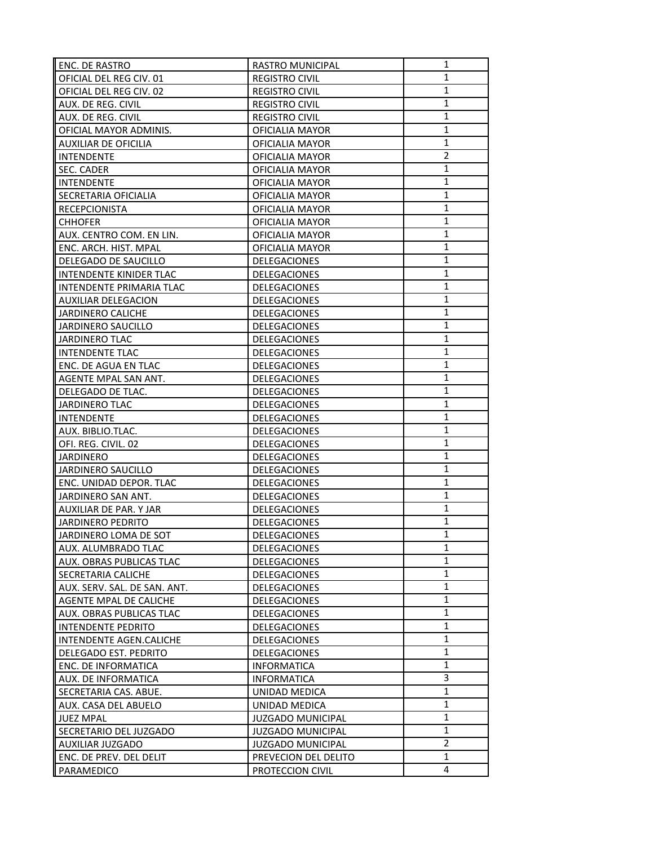| ENC. DE RASTRO               | <b>RASTRO MUNICIPAL</b>  | 1              |
|------------------------------|--------------------------|----------------|
| OFICIAL DEL REG CIV. 01      | <b>REGISTRO CIVIL</b>    | 1              |
| OFICIAL DEL REG CIV. 02      | <b>REGISTRO CIVIL</b>    | $\mathbf{1}$   |
| AUX. DE REG. CIVIL           | <b>REGISTRO CIVIL</b>    | $\mathbf{1}$   |
| AUX. DE REG. CIVIL           | <b>REGISTRO CIVIL</b>    | $\mathbf{1}$   |
| OFICIAL MAYOR ADMINIS.       | OFICIALIA MAYOR          | 1              |
| <b>AUXILIAR DE OFICILIA</b>  | OFICIALIA MAYOR          | 1              |
| <b>INTENDENTE</b>            | OFICIALIA MAYOR          | $\overline{2}$ |
| SEC. CADER                   | <b>OFICIALIA MAYOR</b>   | 1              |
| <b>INTENDENTE</b>            | <b>OFICIALIA MAYOR</b>   | 1              |
| SECRETARIA OFICIALIA         | OFICIALIA MAYOR          | $\mathbf{1}$   |
| RECEPCIONISTA                | OFICIALIA MAYOR          | $\mathbf{1}$   |
| <b>CHHOFER</b>               | OFICIALIA MAYOR          | $\mathbf{1}$   |
| AUX. CENTRO COM. EN LIN.     | OFICIALIA MAYOR          | $\mathbf{1}$   |
| ENC. ARCH. HIST. MPAL        | OFICIALIA MAYOR          | $\mathbf{1}$   |
| DELEGADO DE SAUCILLO         | <b>DELEGACIONES</b>      | 1              |
| INTENDENTE KINIDER TLAC      | DELEGACIONES             | $\mathbf{1}$   |
| INTENDENTE PRIMARIA TLAC     | DELEGACIONES             | 1              |
| <b>AUXILIAR DELEGACION</b>   | DELEGACIONES             | 1              |
| <b>JARDINERO CALICHE</b>     | DELEGACIONES             | $\mathbf{1}$   |
| JARDINERO SAUCILLO           | <b>DELEGACIONES</b>      | 1              |
| <b>JARDINERO TLAC</b>        | DELEGACIONES             | 1              |
| <b>INTENDENTE TLAC</b>       | DELEGACIONES             | $\mathbf{1}$   |
| ENC. DE AGUA EN TLAC         | DELEGACIONES             | $\mathbf{1}$   |
| AGENTE MPAL SAN ANT.         | DELEGACIONES             | $\mathbf{1}$   |
| DELEGADO DE TLAC.            | DELEGACIONES             | $\mathbf{1}$   |
| <b>JARDINERO TLAC</b>        | DELEGACIONES             | 1              |
| <b>INTENDENTE</b>            | <b>DELEGACIONES</b>      | $\mathbf{1}$   |
| AUX. BIBLIO.TLAC.            | DELEGACIONES             | $\mathbf{1}$   |
| OFI. REG. CIVIL. 02          | DELEGACIONES             | $\mathbf{1}$   |
| <b>JARDINERO</b>             | <b>DELEGACIONES</b>      | 1              |
| JARDINERO SAUCILLO           | DELEGACIONES             | 1              |
| ENC. UNIDAD DEPOR. TLAC      | DELEGACIONES             | 1              |
| JARDINERO SAN ANT.           | DELEGACIONES             | 1              |
| AUXILIAR DE PAR. Y JAR       | DELEGACIONES             | 1              |
| <b>JARDINERO PEDRITO</b>     | DELEGACIONES             | $\mathbf{1}$   |
| JARDINERO LOMA DE SOT        | DELEGACIONES             | $\mathbf{1}$   |
| AUX. ALUMBRADO TLAC          | DELEGACIONES             | 1              |
| AUX. OBRAS PUBLICAS TLAC     | <b>DELEGACIONES</b>      | 1              |
| SECRETARIA CALICHE           | <b>DELEGACIONES</b>      | $\mathbf{1}$   |
| AUX. SERV. SAL. DE SAN. ANT. | DELEGACIONES             | 1              |
| AGENTE MPAL DE CALICHE       | DELEGACIONES             | 1              |
| AUX. OBRAS PUBLICAS TLAC     | DELEGACIONES             | 1              |
| <b>INTENDENTE PEDRITO</b>    | DELEGACIONES             | 1              |
| INTENDENTE AGEN.CALICHE      | <b>DELEGACIONES</b>      | $\mathbf{1}$   |
| DELEGADO EST. PEDRITO        | DELEGACIONES             | 1              |
| ENC. DE INFORMATICA          | <b>INFORMATICA</b>       | 1              |
| AUX. DE INFORMATICA          | <b>INFORMATICA</b>       | 3              |
| SECRETARIA CAS. ABUE.        | UNIDAD MEDICA            | $\mathbf{1}$   |
| AUX. CASA DEL ABUELO         | UNIDAD MEDICA            | $\mathbf{1}$   |
| <b>JUEZ MPAL</b>             | <b>JUZGADO MUNICIPAL</b> | 1              |
| SECRETARIO DEL JUZGADO       | <b>JUZGADO MUNICIPAL</b> | 1              |
| AUXILIAR JUZGADO             | <b>JUZGADO MUNICIPAL</b> | $\overline{2}$ |
| ENC. DE PREV. DEL DELIT      | PREVECION DEL DELITO     | 1              |
| PARAMEDICO                   | PROTECCION CIVIL         | 4              |